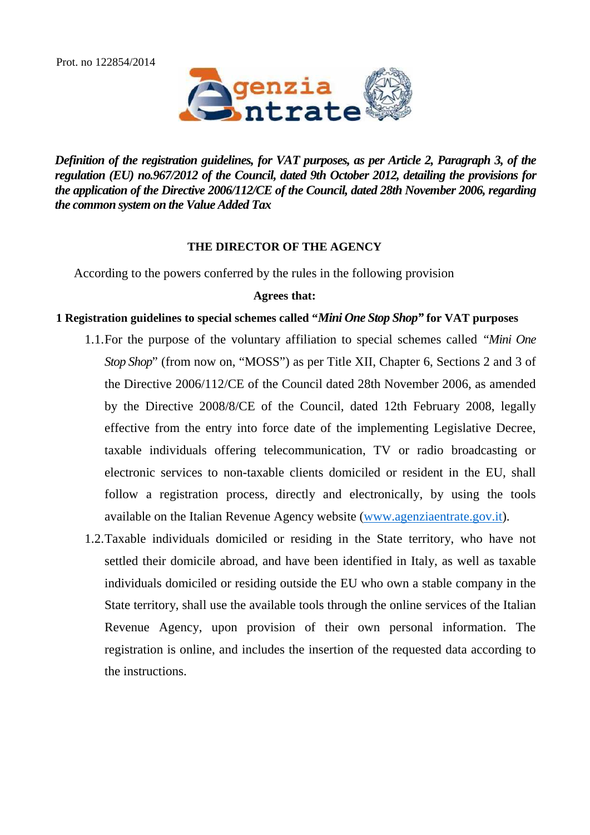Prot. no 122854/2014



*Definition of the registration guidelines, for VAT purposes, as per Article 2, Paragraph 3, of the regulation (EU) no.967/2012 of the Council, dated 9th October 2012, detailing the provisions for the application of the Directive 2006/112/CE of the Council, dated 28th November 2006, regarding the common system on the Value Added Tax*

## **THE DIRECTOR OF THE AGENCY**

According to the powers conferred by the rules in the following provision

## **Agrees that:**

# **1 Registration guidelines to special schemes called "***Mini One Stop Shop"* **for VAT purposes**

- 1.1.For the purpose of the voluntary affiliation to special schemes called *"Mini One Stop Shop*" (from now on, "MOSS") as per Title XII, Chapter 6, Sections 2 and 3 of the Directive 2006/112/CE of the Council dated 28th November 2006, as amended by the Directive 2008/8/CE of the Council, dated 12th February 2008, legally effective from the entry into force date of the implementing Legislative Decree, taxable individuals offering telecommunication, TV or radio broadcasting or electronic services to non-taxable clients domiciled or resident in the EU, shall follow a registration process, directly and electronically, by using the tools available on the Italian Revenue Agency website [\(www.agenziaentrate.gov.it\)](http://www.agenziaentrate.gov.it/).
- 1.2.Taxable individuals domiciled or residing in the State territory, who have not settled their domicile abroad, and have been identified in Italy, as well as taxable individuals domiciled or residing outside the EU who own a stable company in the State territory, shall use the available tools through the online services of the Italian Revenue Agency, upon provision of their own personal information. The registration is online, and includes the insertion of the requested data according to the instructions.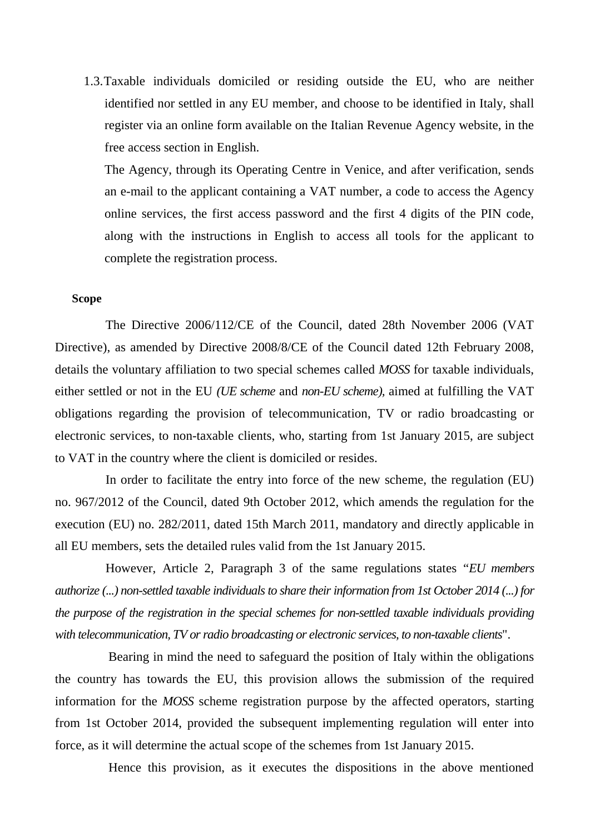1.3.Taxable individuals domiciled or residing outside the EU, who are neither identified nor settled in any EU member, and choose to be identified in Italy, shall register via an online form available on the Italian Revenue Agency website, in the free access section in English.

The Agency, through its Operating Centre in Venice, and after verification, sends an e-mail to the applicant containing a VAT number, a code to access the Agency online services, the first access password and the first 4 digits of the PIN code, along with the instructions in English to access all tools for the applicant to complete the registration process.

## **Scope**

The Directive 2006/112/CE of the Council, dated 28th November 2006 (VAT Directive), as amended by Directive 2008/8/CE of the Council dated 12th February 2008, details the voluntary affiliation to two special schemes called *MOSS* for taxable individuals, either settled or not in the EU *(UE scheme* and *non-EU scheme),* aimed at fulfilling the VAT obligations regarding the provision of telecommunication, TV or radio broadcasting or electronic services, to non-taxable clients, who, starting from 1st January 2015, are subject to VAT in the country where the client is domiciled or resides.

In order to facilitate the entry into force of the new scheme, the regulation (EU) no. 967/2012 of the Council, dated 9th October 2012, which amends the regulation for the execution (EU) no. 282/2011, dated 15th March 2011, mandatory and directly applicable in all EU members, sets the detailed rules valid from the 1st January 2015.

However, Article 2, Paragraph 3 of the same regulations states "*EU members authorize (...) non-settled taxable individuals to share their information from 1st October 2014 (...) for the purpose of the registration in the special schemes for non-settled taxable individuals providing with telecommunication, TV or radio broadcasting or electronic services, to non-taxable clients*".

Bearing in mind the need to safeguard the position of Italy within the obligations the country has towards the EU, this provision allows the submission of the required information for the *MOSS* scheme registration purpose by the affected operators, starting from 1st October 2014, provided the subsequent implementing regulation will enter into force, as it will determine the actual scope of the schemes from 1st January 2015.

Hence this provision, as it executes the dispositions in the above mentioned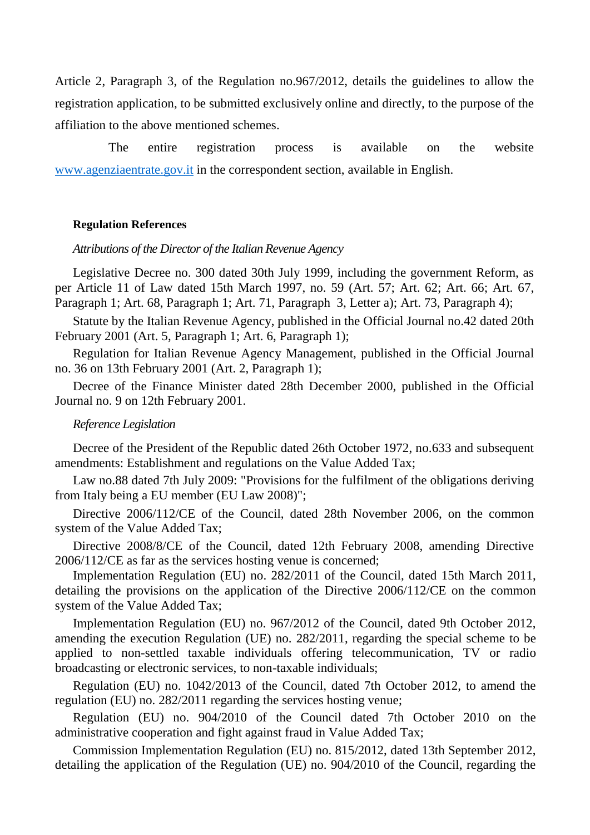Article 2, Paragraph 3, of the Regulation no.967/2012, details the guidelines to allow the registration application, to be submitted exclusively online and directly, to the purpose of the affiliation to the above mentioned schemes.

The entire registration process is available on the website [www.agenziaentrate.gov.it](http://www.agenziaentrate.gov.it/) in the correspondent section, available in English.

#### **Regulation References**

#### *Attributions of the Director of the Italian Revenue Agency*

Legislative Decree no. 300 dated 30th July 1999, including the government Reform, as per Article 11 of Law dated 15th March 1997, no. 59 (Art. 57; Art. 62; Art. 66; Art. 67, Paragraph 1; Art. 68, Paragraph 1; Art. 71, Paragraph 3, Letter a); Art. 73, Paragraph 4);

Statute by the Italian Revenue Agency, published in the Official Journal no.42 dated 20th February 2001 (Art. 5, Paragraph 1; Art. 6, Paragraph 1);

Regulation for Italian Revenue Agency Management, published in the Official Journal no. 36 on 13th February 2001 (Art. 2, Paragraph 1);

Decree of the Finance Minister dated 28th December 2000, published in the Official Journal no. 9 on 12th February 2001.

#### *Reference Legislation*

Decree of the President of the Republic dated 26th October 1972, no.633 and subsequent amendments: Establishment and regulations on the Value Added Tax;

Law no.88 dated 7th July 2009: "Provisions for the fulfilment of the obligations deriving from Italy being a EU member (EU Law 2008)";

Directive 2006/112/CE of the Council, dated 28th November 2006, on the common system of the Value Added Tax;

Directive 2008/8/CE of the Council, dated 12th February 2008, amending Directive 2006/112/CE as far as the services hosting venue is concerned;

Implementation Regulation (EU) no. 282/2011 of the Council, dated 15th March 2011, detailing the provisions on the application of the Directive 2006/112/CE on the common system of the Value Added Tax;

Implementation Regulation (EU) no. 967/2012 of the Council, dated 9th October 2012, amending the execution Regulation (UE) no. 282/2011, regarding the special scheme to be applied to non-settled taxable individuals offering telecommunication, TV or radio broadcasting or electronic services, to non-taxable individuals;

Regulation (EU) no. 1042/2013 of the Council, dated 7th October 2012, to amend the regulation (EU) no. 282/2011 regarding the services hosting venue;

Regulation (EU) no. 904/2010 of the Council dated 7th October 2010 on the administrative cooperation and fight against fraud in Value Added Tax;

Commission Implementation Regulation (EU) no. 815/2012, dated 13th September 2012, detailing the application of the Regulation (UE) no. 904/2010 of the Council, regarding the